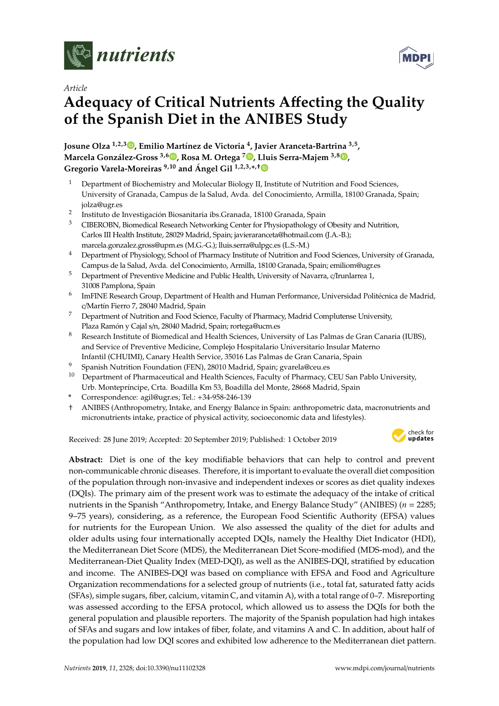

*Article*

# **Adequacy of Critical Nutrients A**ff**ecting the Quality of the Spanish Diet in the ANIBES Study**

**Josune Olza 1,2,3 [,](https://orcid.org/0000-0001-8840-8542) Emilio Martínez de Victoria <sup>4</sup> , Javier Aranceta-Bartrina 3,5 , Marcela González-Gross 3,6 [,](https://orcid.org/0000-0001-7757-3235) Rosa M. Ortega <sup>7</sup> [,](https://orcid.org/0000-0003-3837-9450) Lluis Serra-Majem 3,8 [,](https://orcid.org/0000-0002-9658-9061) Gregorio Varela-Moreiras 9,10 and Ángel Gil 1,2,3,\* ,**[†](https://orcid.org/0000-0001-7663-0939)

- <sup>1</sup> Department of Biochemistry and Molecular Biology II, Institute of Nutrition and Food Sciences, University of Granada, Campus de la Salud, Avda. del Conocimiento, Armilla, 18100 Granada, Spain; jolza@ugr.es
- $\overline{2}$ Instituto de Investigación Biosanitaria ibs.Granada, 18100 Granada, Spain
- <sup>3</sup> CIBEROBN, Biomedical Research Networking Center for Physiopathology of Obesity and Nutrition, Carlos III Health Institute, 28029 Madrid, Spain; javieraranceta@hotmail.com (J.A.-B.); marcela.gonzalez.gross@upm.es (M.G.-G.); lluis.serra@ulpgc.es (L.S.-M.)
- <sup>4</sup> Department of Physiology, School of Pharmacy Institute of Nutrition and Food Sciences, University of Granada, Campus de la Salud, Avda. del Conocimiento, Armilla, 18100 Granada, Spain; emiliom@ugr.es
- <sup>5</sup> Department of Preventive Medicine and Public Health, University of Navarra, c/Irunlarrea 1, 31008 Pamplona, Spain
- 6 ImFINE Research Group, Department of Health and Human Performance, Universidad Politécnica de Madrid, c/Martín Fierro 7, 28040 Madrid, Spain
- <sup>7</sup> Department of Nutrition and Food Science, Faculty of Pharmacy, Madrid Complutense University, Plaza Ramón y Cajal s/n, 28040 Madrid, Spain; rortega@ucm.es
- <sup>8</sup> Research Institute of Biomedical and Health Sciences, University of Las Palmas de Gran Canaria (IUBS), and Service of Preventive Medicine, Complejo Hospitalario Universitario Insular Materno Infantil (CHUIMI), Canary Health Service, 35016 Las Palmas de Gran Canaria, Spain
- <sup>9</sup> Spanish Nutrition Foundation (FEN), 28010 Madrid, Spain; gvarela@ceu.es
- $10$  Department of Pharmaceutical and Health Sciences, Faculty of Pharmacy, CEU San Pablo University, Urb. Montepríncipe, Crta. Boadilla Km 53, Boadilla del Monte, 28668 Madrid, Spain
- **\*** Correspondence: agil@ugr.es; Tel.: +34-958-246-139
- † ANIBES (Anthropometry, Intake, and Energy Balance in Spain: anthropometric data, macronutrients and micronutrients intake, practice of physical activity, socioeconomic data and lifestyles).

Received: 28 June 2019; Accepted: 20 September 2019; Published: 1 October 2019



**Abstract:** Diet is one of the key modifiable behaviors that can help to control and prevent non-communicable chronic diseases. Therefore, it is important to evaluate the overall diet composition of the population through non-invasive and independent indexes or scores as diet quality indexes (DQIs). The primary aim of the present work was to estimate the adequacy of the intake of critical nutrients in the Spanish "Anthropometry, Intake, and Energy Balance Study" (ANIBES) (*n* = 2285; 9–75 years), considering, as a reference, the European Food Scientific Authority (EFSA) values for nutrients for the European Union. We also assessed the quality of the diet for adults and older adults using four internationally accepted DQIs, namely the Healthy Diet Indicator (HDI), the Mediterranean Diet Score (MDS), the Mediterranean Diet Score-modified (MDS-mod), and the Mediterranean-Diet Quality Index (MED-DQI), as well as the ANIBES-DQI, stratified by education and income. The ANIBES-DQI was based on compliance with EFSA and Food and Agriculture Organization recommendations for a selected group of nutrients (i.e., total fat, saturated fatty acids (SFAs), simple sugars, fiber, calcium, vitamin C, and vitamin A), with a total range of 0–7. Misreporting was assessed according to the EFSA protocol, which allowed us to assess the DQIs for both the general population and plausible reporters. The majority of the Spanish population had high intakes of SFAs and sugars and low intakes of fiber, folate, and vitamins A and C. In addition, about half of the population had low DQI scores and exhibited low adherence to the Mediterranean diet pattern.

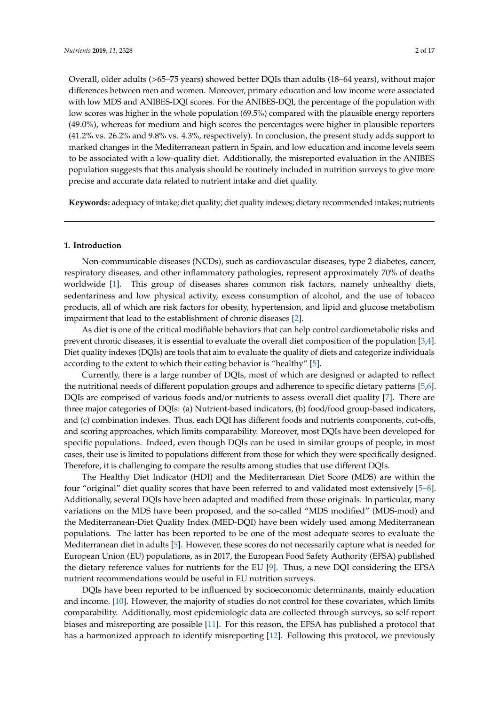Overall, older adults (>65–75 years) showed better DQIs than adults (18–64 years), without major differences between men and women. Moreover, primary education and low income were associated with low MDS and ANIBES-DQI scores. For the ANIBES-DQI, the percentage of the population with low scores was higher in the whole population (69.5%) compared with the plausible energy reporters (49.0%), whereas for medium and high scores the percentages were higher in plausible reporters (41.2% vs. 26.2% and 9.8% vs. 4.3%, respectively). In conclusion, the present study adds support to marked changes in the Mediterranean pattern in Spain, and low education and income levels seem to be associated with a low-quality diet. Additionally, the misreported evaluation in the ANIBES population suggests that this analysis should be routinely included in nutrition surveys to give more precise and accurate data related to nutrient intake and diet quality.

**Keywords:** adequacy of intake; diet quality; diet quality indexes; dietary recommended intakes; nutrients

#### **1. Introduction**

Non-communicable diseases (NCDs), such as cardiovascular diseases, type 2 diabetes, cancer, respiratory diseases, and other inflammatory pathologies, represent approximately 70% of deaths worldwide [\[1\]](#page-14-0). This group of diseases shares common risk factors, namely unhealthy diets, sedentariness and low physical activity, excess consumption of alcohol, and the use of tobacco products, all of which are risk factors for obesity, hypertension, and lipid and glucose metabolism impairment that lead to the establishment of chronic diseases [\[2\]](#page-14-1).

As diet is one of the critical modifiable behaviors that can help control cardiometabolic risks and prevent chronic diseases, it is essential to evaluate the overall diet composition of the population [\[3](#page-14-2)[,4\]](#page-14-3). Diet quality indexes (DQIs) are tools that aim to evaluate the quality of diets and categorize individuals according to the extent to which their eating behavior is "healthy" [\[5\]](#page-14-4).

Currently, there is a large number of DQIs, most of which are designed or adapted to reflect the nutritional needs of different population groups and adherence to specific dietary patterns [\[5,](#page-14-4)[6\]](#page-14-5). DQIs are comprised of various foods and/or nutrients to assess overall diet quality [\[7\]](#page-14-6). There are three major categories of DQIs: (a) Nutrient-based indicators, (b) food/food group-based indicators, and (c) combination indexes. Thus, each DQI has different foods and nutrients components, cut-offs, and scoring approaches, which limits comparability. Moreover, most DQIs have been developed for specific populations. Indeed, even though DQIs can be used in similar groups of people, in most cases, their use is limited to populations different from those for which they were specifically designed. Therefore, it is challenging to compare the results among studies that use different DQIs.

The Healthy Diet Indicator (HDI) and the Mediterranean Diet Score (MDS) are within the four "original" diet quality scores that have been referred to and validated most extensively [\[5](#page-14-4)[–8\]](#page-14-7). Additionally, several DQIs have been adapted and modified from those originals. In particular, many variations on the MDS have been proposed, and the so-called "MDS modified" (MDS-mod) and the Mediterranean-Diet Quality Index (MED-DQI) have been widely used among Mediterranean populations. The latter has been reported to be one of the most adequate scores to evaluate the Mediterranean diet in adults [\[5\]](#page-14-4). However, these scores do not necessarily capture what is needed for European Union (EU) populations, as in 2017, the European Food Safety Authority (EFSA) published the dietary reference values for nutrients for the EU [\[9\]](#page-14-8). Thus, a new DQI considering the EFSA nutrient recommendations would be useful in EU nutrition surveys.

DQIs have been reported to be influenced by socioeconomic determinants, mainly education and income. [\[10\]](#page-14-9). However, the majority of studies do not control for these covariates, which limits comparability. Additionally, most epidemiologic data are collected through surveys, so self-report biases and misreporting are possible [\[11\]](#page-14-10). For this reason, the EFSA has published a protocol that has a harmonized approach to identify misreporting [\[12\]](#page-15-0). Following this protocol, we previously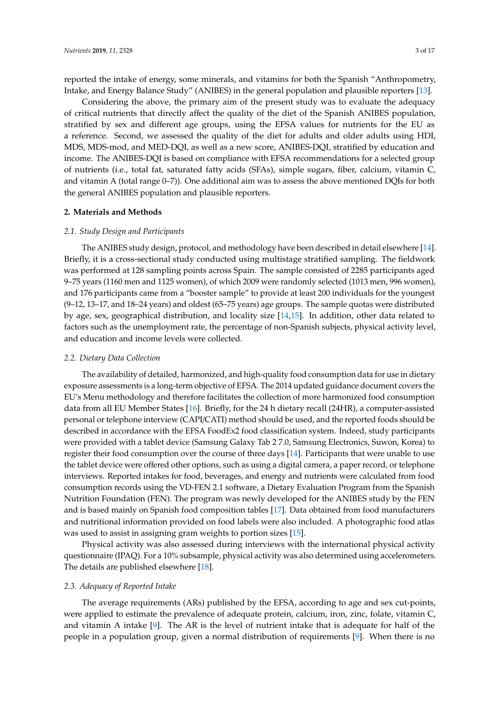reported the intake of energy, some minerals, and vitamins for both the Spanish "Anthropometry, Intake, and Energy Balance Study" (ANIBES) in the general population and plausible reporters [\[13\]](#page-15-1).

Considering the above, the primary aim of the present study was to evaluate the adequacy of critical nutrients that directly affect the quality of the diet of the Spanish ANIBES population, stratified by sex and different age groups, using the EFSA values for nutrients for the EU as a reference. Second, we assessed the quality of the diet for adults and older adults using HDI, MDS, MDS-mod, and MED-DQI, as well as a new score, ANIBES-DQI, stratified by education and income. The ANIBES-DQI is based on compliance with EFSA recommendations for a selected group of nutrients (i.e., total fat, saturated fatty acids (SFAs), simple sugars, fiber, calcium, vitamin C, and vitamin A (total range 0–7)). One additional aim was to assess the above mentioned DQIs for both the general ANIBES population and plausible reporters.

## **2. Materials and Methods**

#### *2.1. Study Design and Participants*

The ANIBES study design, protocol, and methodology have been described in detail elsewhere [\[14\]](#page-15-2). Briefly, it is a cross-sectional study conducted using multistage stratified sampling. The fieldwork was performed at 128 sampling points across Spain. The sample consisted of 2285 participants aged 9–75 years (1160 men and 1125 women), of which 2009 were randomly selected (1013 men, 996 women), and 176 participants came from a "booster sample" to provide at least 200 individuals for the youngest (9–12, 13–17, and 18–24 years) and oldest (65–75 years) age groups. The sample quotas were distributed by age, sex, geographical distribution, and locality size [\[14,](#page-15-2)[15\]](#page-15-3). In addition, other data related to factors such as the unemployment rate, the percentage of non-Spanish subjects, physical activity level, and education and income levels were collected.

#### *2.2. Dietary Data Collection*

The availability of detailed, harmonized, and high-quality food consumption data for use in dietary exposure assessments is a long-term objective of EFSA. The 2014 updated guidance document covers the EU's Menu methodology and therefore facilitates the collection of more harmonized food consumption data from all EU Member States [\[16\]](#page-15-4). Briefly, for the 24 h dietary recall (24HR), a computer-assisted personal or telephone interview (CAPI/CATI) method should be used, and the reported foods should be described in accordance with the EFSA FoodEx2 food classification system. Indeed, study participants were provided with a tablet device (Samsung Galaxy Tab 2 7.0, Samsung Electronics, Suwon, Korea) to register their food consumption over the course of three days [\[14\]](#page-15-2). Participants that were unable to use the tablet device were offered other options, such as using a digital camera, a paper record, or telephone interviews. Reported intakes for food, beverages, and energy and nutrients were calculated from food consumption records using the VD-FEN 2.1 software, a Dietary Evaluation Program from the Spanish Nutrition Foundation (FEN). The program was newly developed for the ANIBES study by the FEN and is based mainly on Spanish food composition tables [\[17\]](#page-15-5). Data obtained from food manufacturers and nutritional information provided on food labels were also included. A photographic food atlas was used to assist in assigning gram weights to portion sizes [\[15\]](#page-15-3).

Physical activity was also assessed during interviews with the international physical activity questionnaire (IPAQ). For a 10% subsample, physical activity was also determined using accelerometers. The details are published elsewhere [\[18\]](#page-15-6).

## *2.3. Adequacy of Reported Intake*

The average requirements (ARs) published by the EFSA, according to age and sex cut-points, were applied to estimate the prevalence of adequate protein, calcium, iron, zinc, folate, vitamin C, and vitamin A intake  $[9]$ . The AR is the level of nutrient intake that is adequate for half of the people in a population group, given a normal distribution of requirements [\[9\]](#page-14-8). When there is no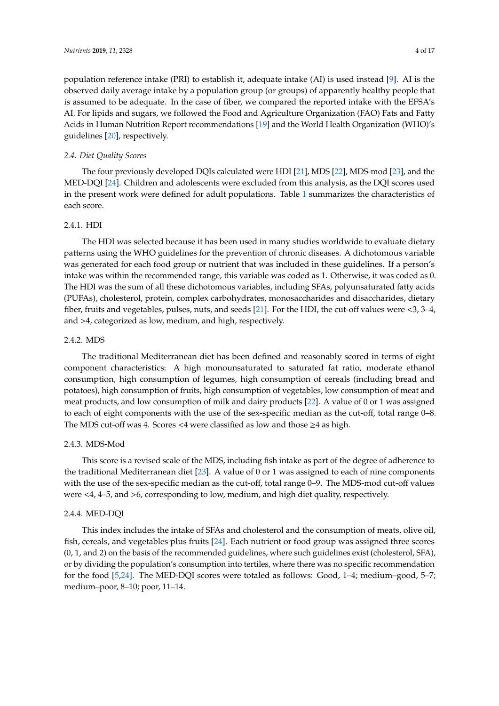population reference intake (PRI) to establish it, adequate intake (AI) is used instead [\[9\]](#page-14-8). AI is the observed daily average intake by a population group (or groups) of apparently healthy people that is assumed to be adequate. In the case of fiber, we compared the reported intake with the EFSA's AI. For lipids and sugars, we followed the Food and Agriculture Organization (FAO) Fats and Fatty Acids in Human Nutrition Report recommendations [\[19\]](#page-15-7) and the World Health Organization (WHO)'s guidelines [\[20\]](#page-15-8), respectively.

## <span id="page-3-0"></span>*2.4. Diet Quality Scores*

The four previously developed DQIs calculated were HDI [\[21\]](#page-15-9), MDS [\[22\]](#page-15-10), MDS-mod [\[23\]](#page-15-11), and the MED-DQI [\[24\]](#page-15-12). Children and adolescents were excluded from this analysis, as the DQI scores used in the present work were defined for adult populations. Table [1](#page-4-0) summarizes the characteristics of each score.

## 2.4.1. HDI

The HDI was selected because it has been used in many studies worldwide to evaluate dietary patterns using the WHO guidelines for the prevention of chronic diseases. A dichotomous variable was generated for each food group or nutrient that was included in these guidelines. If a person's intake was within the recommended range, this variable was coded as 1. Otherwise, it was coded as 0. The HDI was the sum of all these dichotomous variables, including SFAs, polyunsaturated fatty acids (PUFAs), cholesterol, protein, complex carbohydrates, monosaccharides and disaccharides, dietary fiber, fruits and vegetables, pulses, nuts, and seeds [\[21\]](#page-15-9). For the HDI, the cut-off values were <3, 3–4, and >4, categorized as low, medium, and high, respectively.

## 2.4.2. MDS

The traditional Mediterranean diet has been defined and reasonably scored in terms of eight component characteristics: A high monounsaturated to saturated fat ratio, moderate ethanol consumption, high consumption of legumes, high consumption of cereals (including bread and potatoes), high consumption of fruits, high consumption of vegetables, low consumption of meat and meat products, and low consumption of milk and dairy products [\[22\]](#page-15-10). A value of 0 or 1 was assigned to each of eight components with the use of the sex-specific median as the cut-off, total range 0–8. The MDS cut-off was 4. Scores <4 were classified as low and those ≥4 as high.

#### 2.4.3. MDS-Mod

This score is a revised scale of the MDS, including fish intake as part of the degree of adherence to the traditional Mediterranean diet [\[23\]](#page-15-11). A value of 0 or 1 was assigned to each of nine components with the use of the sex-specific median as the cut-off, total range 0–9. The MDS-mod cut-off values were <4, 4–5, and >6, corresponding to low, medium, and high diet quality, respectively.

## 2.4.4. MED-DQI

This index includes the intake of SFAs and cholesterol and the consumption of meats, olive oil, fish, cereals, and vegetables plus fruits [\[24\]](#page-15-12). Each nutrient or food group was assigned three scores (0, 1, and 2) on the basis of the recommended guidelines, where such guidelines exist (cholesterol, SFA), or by dividing the population's consumption into tertiles, where there was no specific recommendation for the food [\[5](#page-14-4)[,24\]](#page-15-12). The MED-DQI scores were totaled as follows: Good, 1–4; medium–good, 5–7; medium–poor, 8–10; poor, 11–14.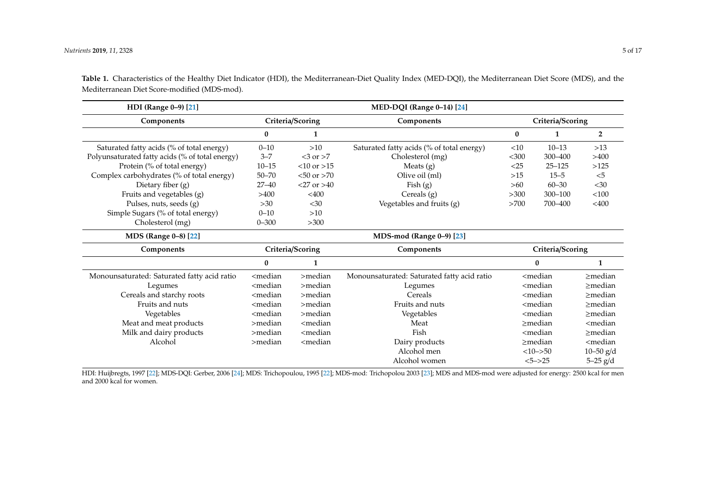| HDI (Range 0-9) [21]                            | MED-DQI (Range 0-14) [24]                                                                                                                                                                   |                                                                                                         |                                             |                                                           |              |                           |  |
|-------------------------------------------------|---------------------------------------------------------------------------------------------------------------------------------------------------------------------------------------------|---------------------------------------------------------------------------------------------------------|---------------------------------------------|-----------------------------------------------------------|--------------|---------------------------|--|
| Components                                      | Criteria/Scoring                                                                                                                                                                            |                                                                                                         | Components                                  | Criteria/Scoring                                          |              |                           |  |
|                                                 | $\bf{0}$                                                                                                                                                                                    | 1                                                                                                       |                                             | $\bf{0}$                                                  | $\mathbf{1}$ | $\overline{2}$            |  |
| Saturated fatty acids (% of total energy)       | $0 - 10$                                                                                                                                                                                    | Saturated fatty acids (% of total energy)<br>>10                                                        |                                             | <10                                                       | $10 - 13$    | $>13$                     |  |
| Polyunsaturated fatty acids (% of total energy) | $3 - 7$                                                                                                                                                                                     | $<$ 3 or $>$ 7                                                                                          | Cholesterol (mg)                            | $<$ 300                                                   | 300-400      | >400                      |  |
| Protein (% of total energy)                     | $10 - 15$                                                                                                                                                                                   | $< 10$ or $> 15$                                                                                        | Meats $(g)$                                 | $<$ 25                                                    | $25 - 125$   | >125                      |  |
| Complex carbohydrates (% of total energy)       | $50 - 70$                                                                                                                                                                                   | $< 50$ or $> 70$                                                                                        | Olive oil (ml)                              | $>15$                                                     | $15 - 5$     | $<$ 5                     |  |
| Dietary fiber $(g)$                             | $27 - 40$                                                                                                                                                                                   | $<27$ or $>40$                                                                                          | Fish $(g)$                                  | >60                                                       | $60 - 30$    | $<30$                     |  |
| Fruits and vegetables (g)                       | >400                                                                                                                                                                                        | $<$ 400                                                                                                 | Cereals $(g)$                               | >300                                                      | $300 - 100$  | < 100                     |  |
| Pulses, nuts, seeds (g)                         | $>30$<br>$30$                                                                                                                                                                               |                                                                                                         | Vegetables and fruits (g)                   | >700                                                      | 700-400      | $<$ 400                   |  |
| Simple Sugars (% of total energy)               | $0 - 10$                                                                                                                                                                                    | >10                                                                                                     |                                             |                                                           |              |                           |  |
| Cholesterol (mg)                                | $0 - 300$                                                                                                                                                                                   | >300                                                                                                    |                                             |                                                           |              |                           |  |
| MDS (Range 0-8) [22]                            | MDS-mod (Range 0-9) [23]                                                                                                                                                                    |                                                                                                         |                                             |                                                           |              |                           |  |
| Components                                      |                                                                                                                                                                                             | Criteria/Scoring                                                                                        | Components                                  | Criteria/Scoring                                          |              |                           |  |
|                                                 | 0                                                                                                                                                                                           | 1                                                                                                       | $\bf{0}$                                    |                                                           |              | 1                         |  |
| Monounsaturated: Saturated fatty acid ratio     | <median< td=""><td><math>&gt;</math>median</td><td>Monounsaturated: Saturated fatty acid ratio</td><td colspan="2"><median< td=""><td><math>&gt;</math>median</td></median<></td></median<> | $>$ median                                                                                              | Monounsaturated: Saturated fatty acid ratio | <median< td=""><td><math>&gt;</math>median</td></median<> |              | $>$ median                |  |
| Legumes                                         | <median< td=""><td><math>&gt;</math>median</td><td>Legumes</td><td colspan="2"><median< td=""><td><math>&gt;</math>median</td></median<></td></median<>                                     | $>$ median                                                                                              | Legumes                                     | <median< td=""><td><math>&gt;</math>median</td></median<> |              | $>$ median                |  |
| Cereals and starchy roots                       | <median< td=""><td><math>&gt;</math>median</td><td>Cereals</td><td colspan="2"><math>&lt;</math>median</td><td><math>\geq</math>median</td></median<>                                       | $>$ median                                                                                              | Cereals                                     | $<$ median                                                |              | $\geq$ median             |  |
| Fruits and nuts                                 | <median< td=""><td><math>&gt;</math>median</td><td>Fruits and nuts</td><td colspan="2"><median< td=""><td><math>\geq</math>median</td></median<></td></median<>                             | $>$ median                                                                                              | Fruits and nuts                             | <median< td=""><td><math>\geq</math>median</td></median<> |              | $\geq$ median             |  |
| Vegetables                                      | <median< td=""><td><math>&gt;</math>median</td><td>Vegetables</td><td colspan="2"><median< td=""><td><math>&gt;</math>median</td></median<></td></median<>                                  | $>$ median                                                                                              | Vegetables                                  | <median< td=""><td><math>&gt;</math>median</td></median<> |              | $>$ median                |  |
| Meat and meat products                          | >median                                                                                                                                                                                     | <median< td=""><td>Meat</td><td colspan="2">&gt;median</td><td><median< td=""></median<></td></median<> | Meat                                        | >median                                                   |              | <median< td=""></median<> |  |
| Milk and dairy products                         | $>$ median                                                                                                                                                                                  | Fish<br>$<$ median                                                                                      |                                             | $<$ median                                                |              | $>$ median                |  |
| Alcohol                                         | $>$ median                                                                                                                                                                                  | <median<br>Dairy products</median<br>                                                                   |                                             | $>$ median                                                |              | <median< td=""></median<> |  |
|                                                 |                                                                                                                                                                                             |                                                                                                         | Alcohol men                                 | $<10->50$                                                 |              | $10 - 50$ g/d             |  |
|                                                 |                                                                                                                                                                                             |                                                                                                         | Alcohol women                               |                                                           | $<5->25$     | $5 - 25$ $g/d$            |  |

**Table 1.** Characteristics of the Healthy Diet Indicator (HDI), the Mediterranean-Diet Quality Index (MED-DQI), the Mediterranean Diet Score (MDS), and the Mediterranean Diet Score-modified (MDS-mod).

<span id="page-4-0"></span>HDI: Huijbregts, 1997 [\[22\]](#page-15-14); MDS-DQI: Gerber, 2006 [\[24\]](#page-15-13); MDS: Trichopoulou, 1995 [\[22\]](#page-15-14); MDS-mod: Trichopolou 2003 [\[23\]](#page-15-15); MDS and MDS-mod were adjusted for energy: 2500 kcal for men and 2000 kcal for women.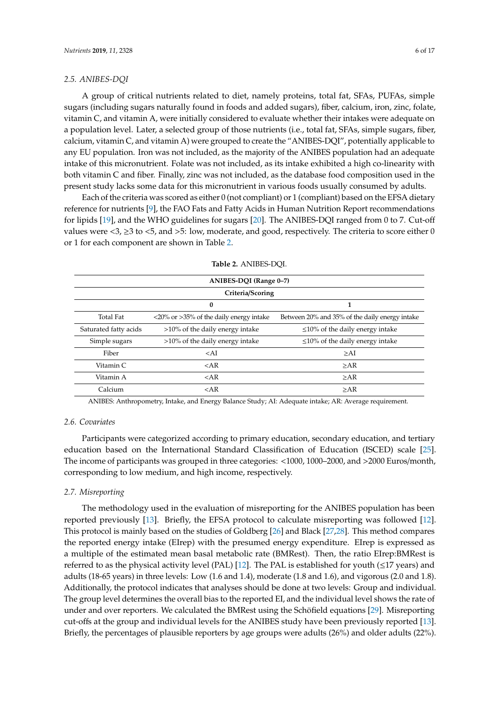## *2.5. ANIBES-DQI*

A group of critical nutrients related to diet, namely proteins, total fat, SFAs, PUFAs, simple sugars (including sugars naturally found in foods and added sugars), fiber, calcium, iron, zinc, folate, vitamin C, and vitamin A, were initially considered to evaluate whether their intakes were adequate on a population level. Later, a selected group of those nutrients (i.e., total fat, SFAs, simple sugars, fiber, calcium, vitamin C, and vitamin A) were grouped to create the "ANIBES-DQI", potentially applicable to any EU population. Iron was not included, as the majority of the ANIBES population had an adequate intake of this micronutrient. Folate was not included, as its intake exhibited a high co-linearity with both vitamin C and fiber. Finally, zinc was not included, as the database food composition used in the present study lacks some data for this micronutrient in various foods usually consumed by adults.

Each of the criteria was scored as either 0 (not compliant) or 1 (compliant) based on the EFSA dietary reference for nutrients [\[9\]](#page-14-8), the FAO Fats and Fatty Acids in Human Nutrition Report recommendations for lipids [\[19\]](#page-15-7), and the WHO guidelines for sugars [\[20\]](#page-15-8). The ANIBES-DQI ranged from 0 to 7. Cut-off values were  $\langle 3, \rangle$   $\geq$  3 to  $\langle 5, \rangle$  and  $\langle 5, \rangle$  low, moderate, and good, respectively. The criteria to score either 0 or 1 for each component are shown in Table [2.](#page-5-0)

<span id="page-5-0"></span>

| ANIBES-DQI (Range 0-7) |                                                                            |                                                |  |  |  |  |  |  |  |
|------------------------|----------------------------------------------------------------------------|------------------------------------------------|--|--|--|--|--|--|--|
| Criteria/Scoring       |                                                                            |                                                |  |  |  |  |  |  |  |
| $\bf{0}$<br>1          |                                                                            |                                                |  |  |  |  |  |  |  |
| <b>Total Fat</b>       | $\langle 20\% \text{ or } 25\% \text{ of the daily energy intake} \rangle$ | Between 20% and 35% of the daily energy intake |  |  |  |  |  |  |  |
| Saturated fatty acids  | >10% of the daily energy intake                                            | $\leq$ 10% of the daily energy intake          |  |  |  |  |  |  |  |
| Simple sugars          | >10% of the daily energy intake                                            | $\leq$ 10% of the daily energy intake          |  |  |  |  |  |  |  |
| Fiber                  | $<$ AI                                                                     | >A <sub>I</sub>                                |  |  |  |  |  |  |  |
| Vitamin C.             | $<$ AR                                                                     | $>A$ R                                         |  |  |  |  |  |  |  |
| Vitamin A              | $<$ AR                                                                     | >A <sub>R</sub>                                |  |  |  |  |  |  |  |
| Calcium                | $<$ AR                                                                     | $>A$ R                                         |  |  |  |  |  |  |  |

**Table 2.** ANIBES-DQI.

ANIBES: Anthropometry, Intake, and Energy Balance Study; AI: Adequate intake; AR: Average requirement.

## *2.6. Covariates*

Participants were categorized according to primary education, secondary education, and tertiary education based on the International Standard Classification of Education (ISCED) scale [\[25\]](#page-15-16). The income of participants was grouped in three categories: <1000, 1000–2000, and >2000 Euros/month, corresponding to low medium, and high income, respectively.

## *2.7. Misreporting*

The methodology used in the evaluation of misreporting for the ANIBES population has been reported previously [\[13\]](#page-15-1). Briefly, the EFSA protocol to calculate misreporting was followed [\[12\]](#page-15-0). This protocol is mainly based on the studies of Goldberg [\[26\]](#page-15-17) and Black [\[27,](#page-15-18)[28\]](#page-15-19). This method compares the reported energy intake (EIrep) with the presumed energy expenditure. EIrep is expressed as a multiple of the estimated mean basal metabolic rate (BMRest). Then, the ratio EIrep:BMRest is referred to as the physical activity level (PAL) [\[12\]](#page-15-0). The PAL is established for youth ( $\leq$ 17 years) and adults (18-65 years) in three levels: Low (1.6 and 1.4), moderate (1.8 and 1.6), and vigorous (2.0 and 1.8). Additionally, the protocol indicates that analyses should be done at two levels: Group and individual. The group level determines the overall bias to the reported EI, and the individual level shows the rate of under and over reporters. We calculated the BMRest using the Schöfield equations [\[29\]](#page-15-20). Misreporting cut-offs at the group and individual levels for the ANIBES study have been previously reported [\[13\]](#page-15-1). Briefly, the percentages of plausible reporters by age groups were adults (26%) and older adults (22%).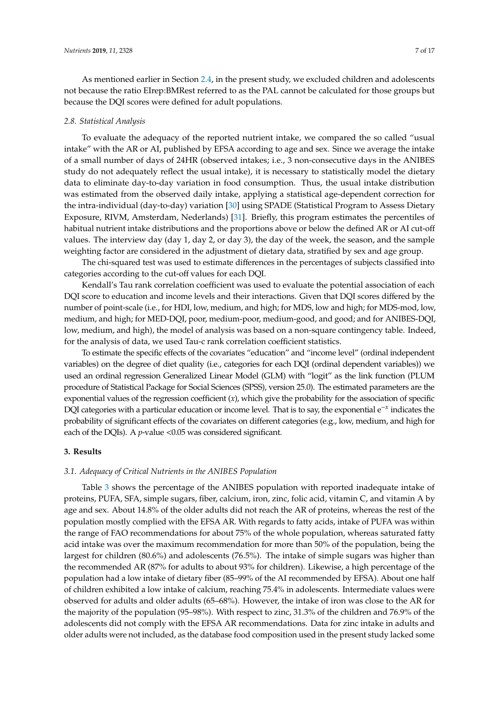As mentioned earlier in Section [2.4,](#page-3-0) in the present study, we excluded children and adolescents not because the ratio EIrep:BMRest referred to as the PAL cannot be calculated for those groups but because the DQI scores were defined for adult populations.

## *2.8. Statistical Analysis*

To evaluate the adequacy of the reported nutrient intake, we compared the so called "usual intake" with the AR or AI, published by EFSA according to age and sex. Since we average the intake of a small number of days of 24HR (observed intakes; i.e., 3 non-consecutive days in the ANIBES study do not adequately reflect the usual intake), it is necessary to statistically model the dietary data to eliminate day-to-day variation in food consumption. Thus, the usual intake distribution was estimated from the observed daily intake, applying a statistical age-dependent correction for the intra-individual (day-to-day) variation [\[30\]](#page-15-21) using SPADE (Statistical Program to Assess Dietary Exposure, RIVM, Amsterdam, Nederlands) [\[31\]](#page-16-0). Briefly, this program estimates the percentiles of habitual nutrient intake distributions and the proportions above or below the defined AR or AI cut-off values. The interview day (day 1, day 2, or day 3), the day of the week, the season, and the sample weighting factor are considered in the adjustment of dietary data, stratified by sex and age group.

The chi-squared test was used to estimate differences in the percentages of subjects classified into categories according to the cut-off values for each DQI.

Kendall's Tau rank correlation coefficient was used to evaluate the potential association of each DQI score to education and income levels and their interactions. Given that DQI scores differed by the number of point-scale (i.e., for HDI, low, medium, and high; for MDS, low and high; for MDS-mod, low, medium, and high; for MED-DQI, poor, medium-poor, medium-good, and good; and for ANIBES-DQI, low, medium, and high), the model of analysis was based on a non-square contingency table. Indeed, for the analysis of data, we used Tau-c rank correlation coefficient statistics.

To estimate the specific effects of the covariates "education" and "income level" (ordinal independent variables) on the degree of diet quality (i.e., categories for each DQI (ordinal dependent variables)) we used an ordinal regression Generalized Linear Model (GLM) with "logit" as the link function (PLUM procedure of Statistical Package for Social Sciences (SPSS), version 25.0). The estimated parameters are the exponential values of the regression coefficient (*x*), which give the probability for the association of specific DQI categories with a particular education or income level. That is to say, the exponential e−*<sup>x</sup>* indicates the probability of significant effects of the covariates on different categories (e.g., low, medium, and high for each of the DQIs). A *p*-value <0.05 was considered significant.

#### **3. Results**

## *3.1. Adequacy of Critical Nutrients in the ANIBES Population*

Table [3](#page-8-0) shows the percentage of the ANIBES population with reported inadequate intake of proteins, PUFA, SFA, simple sugars, fiber, calcium, iron, zinc, folic acid, vitamin C, and vitamin A by age and sex. About 14.8% of the older adults did not reach the AR of proteins, whereas the rest of the population mostly complied with the EFSA AR. With regards to fatty acids, intake of PUFA was within the range of FAO recommendations for about 75% of the whole population, whereas saturated fatty acid intake was over the maximum recommendation for more than 50% of the population, being the largest for children (80.6%) and adolescents (76.5%). The intake of simple sugars was higher than the recommended AR (87% for adults to about 93% for children). Likewise, a high percentage of the population had a low intake of dietary fiber (85–99% of the AI recommended by EFSA). About one half of children exhibited a low intake of calcium, reaching 75.4% in adolescents. Intermediate values were observed for adults and older adults (65–68%). However, the intake of iron was close to the AR for the majority of the population (95–98%). With respect to zinc, 31.3% of the children and 76.9% of the adolescents did not comply with the EFSA AR recommendations. Data for zinc intake in adults and older adults were not included, as the database food composition used in the present study lacked some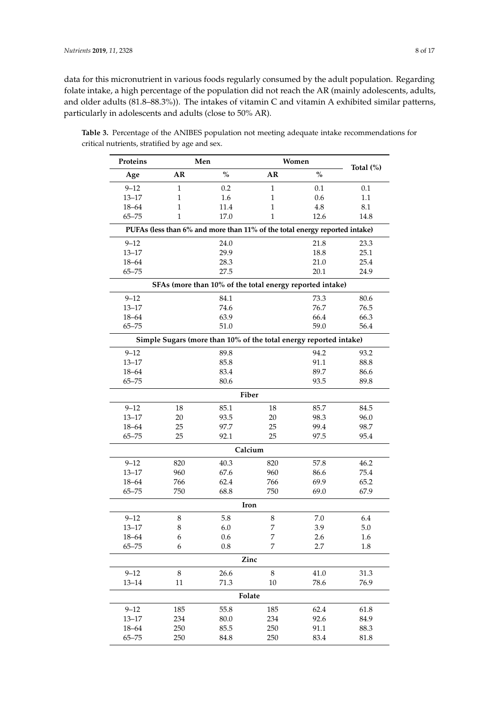data for this micronutrient in various foods regularly consumed by the adult population. Regarding folate intake, a high percentage of the population did not reach the AR (mainly adolescents, adults, and older adults (81.8–88.3%)). The intakes of vitamin C and vitamin A exhibited similar patterns, particularly in adolescents and adults (close to 50% AR).

| Proteins              | Men           |                                                                            |                  | Women        |              |  |  |
|-----------------------|---------------|----------------------------------------------------------------------------|------------------|--------------|--------------|--|--|
| Age                   | $\%$<br>AR    |                                                                            | AR               | $\%$         | Total $(\%)$ |  |  |
| $9 - 12$              | $\mathbf{1}$  | 0.2                                                                        | $\mathbf{1}$     | 0.1          | 0.1          |  |  |
| $13 - 17$             | $\mathbf{1}$  | 1.6                                                                        | $\mathbf{1}$     | 0.6          | 1.1          |  |  |
| $18 - 64$             | 1             | 11.4                                                                       | 1                | 4.8          | 8.1          |  |  |
| $65 - 75$             | 1             | 17.0                                                                       | 1                | 12.6         | 14.8         |  |  |
|                       |               | PUFAs (less than 6% and more than 11% of the total energy reported intake) |                  |              |              |  |  |
| $9 - 12$              |               | 24.0                                                                       |                  | 21.8         | 23.3         |  |  |
| $13 - 17$             |               | 29.9                                                                       |                  | 18.8         | 25.1         |  |  |
| $18 - 64$             |               | 28.3                                                                       |                  | 21.0         | 25.4         |  |  |
| $65 - 75$             |               | 27.5                                                                       |                  | 20.1         | 24.9         |  |  |
|                       |               | SFAs (more than 10% of the total energy reported intake)                   |                  |              |              |  |  |
| $9 - 12$              |               | 84.1                                                                       |                  | 73.3         | 80.6         |  |  |
| $13 - 17$             |               | 74.6                                                                       |                  | 76.7         | 76.5         |  |  |
| $18 - 64$             |               | 63.9                                                                       |                  | 66.4         | 66.3         |  |  |
| $65 - 75$             |               | 51.0                                                                       |                  | 59.0         | 56.4         |  |  |
|                       |               | Simple Sugars (more than 10% of the total energy reported intake)          |                  |              |              |  |  |
| $9 - 12$              |               | 89.8                                                                       |                  | 94.2         | 93.2         |  |  |
| $13 - 17$             |               | 85.8                                                                       |                  | 91.1         | 88.8         |  |  |
| $18 - 64$             |               | 83.4                                                                       |                  | 89.7         | 86.6         |  |  |
| $65 - 75$             |               | 80.6                                                                       |                  | 93.5         | 89.8         |  |  |
|                       |               | Fiber                                                                      |                  |              |              |  |  |
| $9 - 12$              | 18            | 85.1                                                                       | 18               | 85.7         | 84.5         |  |  |
| $13 - 17$             | 20            | 93.5                                                                       | 20               | 98.3         | 96.0         |  |  |
| $18 - 64$             | 25            | 97.7                                                                       | 25               | 99.4         | 98.7         |  |  |
| $65 - 75$             | 25            | 92.1                                                                       | 25               | 97.5         | 95.4         |  |  |
| Calcium               |               |                                                                            |                  |              |              |  |  |
| $9 - 12$              | 820           | 40.3                                                                       | 820              | 57.8         | 46.2         |  |  |
| $13 - 17$             | 960           | 67.6                                                                       | 960              | 86.6         | 75.4         |  |  |
| $18 - 64$             | 766           | 62.4                                                                       | 766              | 69.9         | 65.2         |  |  |
| $65 - 75$             | 750           | 68.8                                                                       | 750              | 69.0         | 67.9         |  |  |
|                       |               | Iron                                                                       |                  |              |              |  |  |
| $9 - 12$              | 8             | 5.8                                                                        | 8                | 7.0          | 6.4          |  |  |
| $13 - 17$             | 8             | 6.0                                                                        | 7                | 3.9          | 5.0          |  |  |
| $18 - 64$             | 6             | 0.6                                                                        | $\boldsymbol{7}$ | 2.6          | 1.6          |  |  |
| $65 - 75$             | 6             | 0.8                                                                        | 7                | 2.7          | 1.8          |  |  |
|                       |               | Zinc                                                                       |                  |              |              |  |  |
|                       |               |                                                                            |                  |              |              |  |  |
| $9 - 12$<br>$13 - 14$ | $\,8\,$<br>11 | 26.6<br>71.3                                                               | $\,8\,$<br>10    | 41.0<br>78.6 | 31.3<br>76.9 |  |  |
|                       |               | Folate                                                                     |                  |              |              |  |  |
|                       |               |                                                                            |                  |              |              |  |  |
| $9 - 12$              | 185           | 55.8                                                                       | 185              | 62.4         | 61.8         |  |  |
| $13 - 17$             | 234           | 80.0                                                                       | 234              | 92.6         | 84.9         |  |  |
| $18 - 64$             | 250           | 85.5                                                                       | 250              | 91.1         | 88.3         |  |  |
| $65 - 75$             | 250           | 84.8                                                                       | 250              | 83.4         | 81.8         |  |  |

**Table 3.** Percentage of the ANIBES population not meeting adequate intake recommendations for critical nutrients, stratified by age and sex.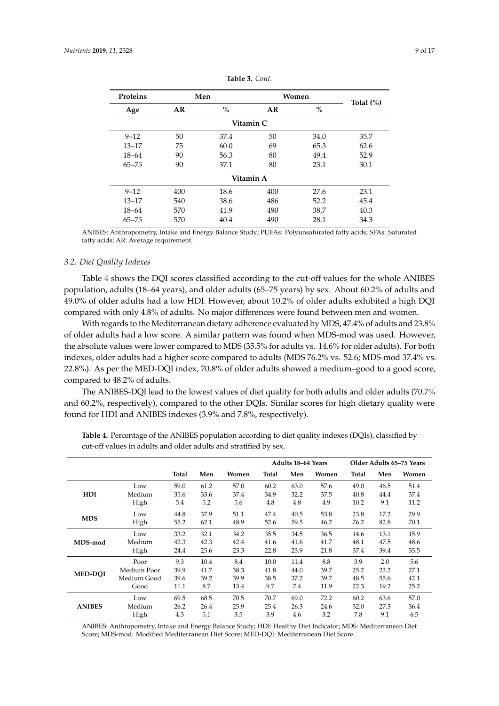<span id="page-8-0"></span>

| <b>Proteins</b> |     | Men  | Women |      |              |  |  |  |
|-----------------|-----|------|-------|------|--------------|--|--|--|
| Age             | AR  | $\%$ | AR    | $\%$ | Total $(\%)$ |  |  |  |
|                 |     |      |       |      |              |  |  |  |
| $9 - 12$        | 50  | 37.4 | 50    | 34.0 | 35.7         |  |  |  |
| $13 - 17$       | 75  | 60.0 | 69    | 65.3 | 62.6         |  |  |  |
| $18 - 64$       | 90  | 56.3 | 80    | 49.4 | 52.9         |  |  |  |
| $65 - 75$       | 90  | 37.1 | 80    | 23.1 | 30.1         |  |  |  |
| Vitamin A       |     |      |       |      |              |  |  |  |
| $9 - 12$        | 400 | 18.6 | 400   | 27.6 | 23.1         |  |  |  |
| $13 - 17$       | 540 | 38.6 | 486   | 52.2 | 45.4         |  |  |  |
| $18 - 64$       | 570 | 41.9 | 490   | 38.7 | 40.3         |  |  |  |
| $65 - 75$       | 570 | 40.4 | 490   | 28.1 | 34.3         |  |  |  |

**Table 3.** *Cont.*

ANIBES: Anthropometry, Intake and Energy Balance Study; PUFAs: Polyunsaturated fatty acids; SFAs: Saturated fatty acids; AR: Average requirement.

## *3.2. Diet Quality Indexes*

Table [4](#page-8-1) shows the DQI scores classified according to the cut-off values for the whole ANIBES population, adults (18–64 years), and older adults (65–75 years) by sex. About 60.2% of adults and 49.0% of older adults had a low HDI. However, about 10.2% of older adults exhibited a high DQI compared with only 4.8% of adults. No major differences were found between men and women.

With regards to the Mediterranean dietary adherence evaluated by MDS, 47.4% of adults and 23.8% of older adults had a low score. A similar pattern was found when MDS-mod was used. However, the absolute values were lower compared to MDS (35.5% for adults vs. 14.6% for older adults). For both indexes, older adults had a higher score compared to adults (MDS 76.2% vs. 52.6; MDS-mod 37.4% vs. 22.8%). As per the MED-DQI index, 70.8% of older adults showed a medium–good to a good score, compared to 48.2% of adults.

The ANIBES-DQI lead to the lowest values of diet quality for both adults and older adults (70.7% and 60.2%, respectively), compared to the other DQIs. Similar scores for high dietary quality were found for HDI and ANIBES indexes (3.9% and 7.8%, respectively).

|                |             |       |      |       | <b>Adults 18-64 Years</b> |      |       | Older Adults 65-75 Years |      |       |
|----------------|-------------|-------|------|-------|---------------------------|------|-------|--------------------------|------|-------|
|                |             | Total | Men  | Women | Total                     | Men  | Women | Total                    | Men  | Women |
| HDI            | Low         | 59.0  | 61.2 | 57.0  | 60.2                      | 63.0 | 57.6  | 49.0                     | 46.5 | 51.4  |
|                | Medium      | 35.6  | 33.6 | 37.4  | 34.9                      | 32.2 | 37.5  | 40.8                     | 44.4 | 37.4  |
|                | High        | 5.4   | 5.2  | 5.6   | 4.8                       | 4.8  | 4.9   | 10.2                     | 9.1  | 11.2  |
| <b>MDS</b>     | Low         | 44.8  | 37.9 | 51.1  | 47.4                      | 40.5 | 53.8  | 23.8                     | 17.2 | 29.9  |
|                | High        | 55.2  | 62.1 | 48.9  | 52.6                      | 59.5 | 46.2  | 76.2                     | 82.8 | 70.1  |
|                | Low         | 33.2  | 32.1 | 34.2  | 35.5                      | 34.5 | 36.5  | 14.6                     | 13.1 | 15.9  |
| MDS-mod        | Medium      | 42.3  | 42.3 | 42.4  | 41.6                      | 41.6 | 41.7  | 48.1                     | 47.5 | 48.6  |
|                | High        | 24.4  | 25.6 | 23.3  | 22.8                      | 23.9 | 21.8  | 37.4                     | 39.4 | 35.5  |
| <b>MED-DOI</b> | Poor        | 9.3   | 10.4 | 8.4   | 10.0                      | 11.4 | 8.8   | 3.9                      | 2.0  | 5.6   |
|                | Medium Poor | 39.9  | 41.7 | 38.3  | 41.8                      | 44.0 | 39.7  | 25.2                     | 23.2 | 27.1  |
|                | Medium Good | 39.6  | 39.2 | 39.9  | 38.5                      | 37.2 | 39.7  | 48.5                     | 55.6 | 42.1  |
|                | Good        | 11.1  | 8.7  | 13.4  | 9.7                       | 7.4  | 11.9  | 22.3                     | 19.2 | 25.2  |
| <b>ANIBES</b>  | Low         | 69.5  | 68.5 | 70.5  | 70.7                      | 69.0 | 72.2  | 60.2                     | 63.6 | 57.0  |
|                | Medium      | 26.2  | 26.4 | 25.9  | 25.4                      | 26.3 | 24.6  | 32.0                     | 27.3 | 36.4  |
|                | High        | 4.3   | 5.1  | 3.5   | 3.9                       | 4.6  | 3.2   | 7.8                      | 9.1  | 6.5   |

<span id="page-8-1"></span>**Table 4.** Percentage of the ANIBES population according to diet quality indexes (DQIs), classified by cut-off values in adults and older adults and stratified by sex.

ANIBES: Anthropometry, Intake and Energy Balance Study; HDI: Healthy Diet Indicator; MDS: Mediterranean Diet Score; MDS-mod: Modified Mediterranean Diet Score; MED-DQI: Mediterranean Diet Score.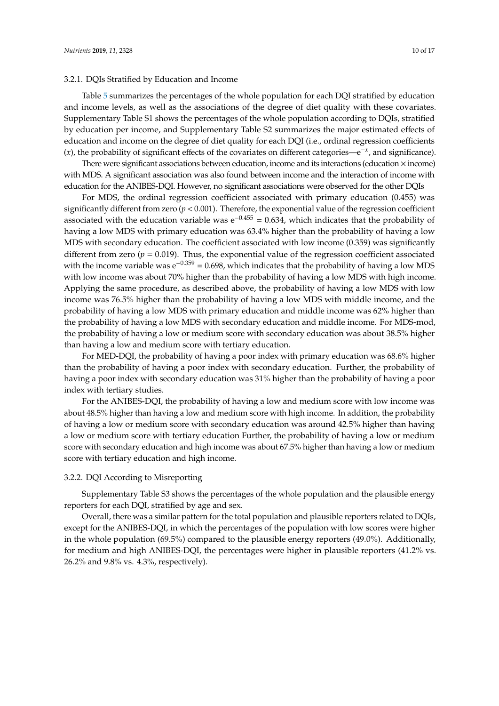## 3.2.1. DQIs Stratified by Education and Income

Table [5](#page-10-0) summarizes the percentages of the whole population for each DQI stratified by education and income levels, as well as the associations of the degree of diet quality with these covariates. Supplementary Table S1 shows the percentages of the whole population according to DQIs, stratified by education per income, and Supplementary Table S2 summarizes the major estimated effects of education and income on the degree of diet quality for each DQI (i.e., ordinal regression coefficients (*x*), the probability of significant effects of the covariates on different categories—e−*<sup>x</sup>* , and significance).

There were significant associations between education, income and its interactions (education  $\times$  income) with MDS. A significant association was also found between income and the interaction of income with education for the ANIBES-DQI. However, no significant associations were observed for the other DQIs

For MDS, the ordinal regression coefficient associated with primary education (0.455) was significantly different from zero  $(p < 0.001)$ . Therefore, the exponential value of the regression coefficient associated with the education variable was  $e^{-0.455} = 0.634$ , which indicates that the probability of having a low MDS with primary education was 63.4% higher than the probability of having a low MDS with secondary education. The coefficient associated with low income (0.359) was significantly different from zero  $(p = 0.019)$ . Thus, the exponential value of the regression coefficient associated with the income variable was  $e^{-0.359} = 0.698$ , which indicates that the probability of having a low MDS with low income was about 70% higher than the probability of having a low MDS with high income. Applying the same procedure, as described above, the probability of having a low MDS with low income was 76.5% higher than the probability of having a low MDS with middle income, and the probability of having a low MDS with primary education and middle income was 62% higher than the probability of having a low MDS with secondary education and middle income. For MDS-mod, the probability of having a low or medium score with secondary education was about 38.5% higher than having a low and medium score with tertiary education.

For MED-DQI, the probability of having a poor index with primary education was 68.6% higher than the probability of having a poor index with secondary education. Further, the probability of having a poor index with secondary education was 31% higher than the probability of having a poor index with tertiary studies.

For the ANIBES-DQI, the probability of having a low and medium score with low income was about 48.5% higher than having a low and medium score with high income. In addition, the probability of having a low or medium score with secondary education was around 42.5% higher than having a low or medium score with tertiary education Further, the probability of having a low or medium score with secondary education and high income was about 67.5% higher than having a low or medium score with tertiary education and high income.

## 3.2.2. DQI According to Misreporting

Supplementary Table S3 shows the percentages of the whole population and the plausible energy reporters for each DQI, stratified by age and sex.

Overall, there was a similar pattern for the total population and plausible reporters related to DQIs, except for the ANIBES-DQI, in which the percentages of the population with low scores were higher in the whole population (69.5%) compared to the plausible energy reporters (49.0%). Additionally, for medium and high ANIBES-DQI, the percentages were higher in plausible reporters (41.2% vs. 26.2% and 9.8% vs. 4.3%, respectively).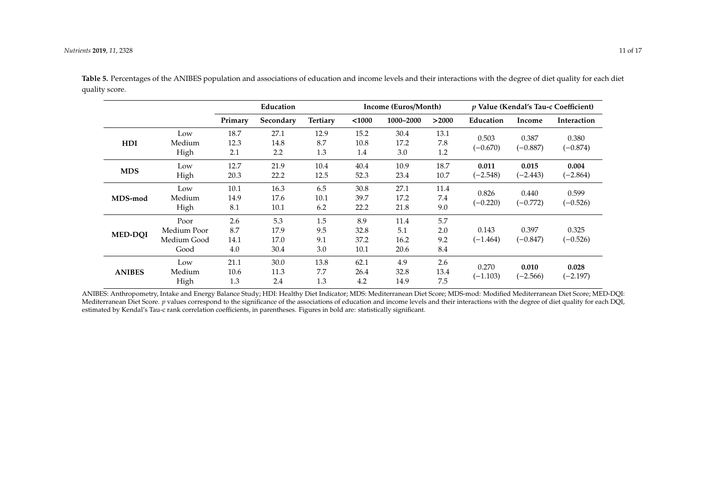|                |                                            | Education                 |                             |                          |                             | Income (Euros/Month)        |                          |                     | p Value (Kendal's Tau-c Coefficient) |                     |  |
|----------------|--------------------------------------------|---------------------------|-----------------------------|--------------------------|-----------------------------|-----------------------------|--------------------------|---------------------|--------------------------------------|---------------------|--|
|                |                                            | Primary                   | Secondary                   | <b>Tertiary</b>          | < 1000                      | 1000-2000                   | >2000                    | Education           | Income                               | Interaction         |  |
| HDI            | Low<br>Medium<br>High                      | 18.7<br>12.3<br>2.1       | 27.1<br>14.8<br>2.2         | 12.9<br>8.7<br>1.3       | 15.2<br>10.8<br>1.4         | 30.4<br>17.2<br>3.0         | 13.1<br>7.8<br>1.2       | 0.503<br>$(-0.670)$ | 0.387<br>$(-0.887)$                  | 0.380<br>$(-0.874)$ |  |
| <b>MDS</b>     | Low<br>High                                | 12.7<br>20.3              | 21.9<br>22.2                | 10.4<br>12.5             | 40.4<br>52.3                | 10.9<br>23.4                | 18.7<br>10.7             | 0.011<br>$(-2.548)$ | 0.015<br>$(-2.443)$                  | 0.004<br>$(-2.864)$ |  |
| MDS-mod        | Low<br>Medium<br>High                      | 10.1<br>14.9<br>8.1       | 16.3<br>17.6<br>10.1        | 6.5<br>10.1<br>6.2       | 30.8<br>39.7<br>22.2        | 27.1<br>17.2<br>21.8        | 11.4<br>7.4<br>9.0       | 0.826<br>$(-0.220)$ | 0.440<br>$(-0.772)$                  | 0.599<br>$(-0.526)$ |  |
| <b>MED-DOI</b> | Poor<br>Medium Poor<br>Medium Good<br>Good | 2.6<br>8.7<br>14.1<br>4.0 | 5.3<br>17.9<br>17.0<br>30.4 | 1.5<br>9.5<br>9.1<br>3.0 | 8.9<br>32.8<br>37.2<br>10.1 | 11.4<br>5.1<br>16.2<br>20.6 | 5.7<br>2.0<br>9.2<br>8.4 | 0.143<br>$(-1.464)$ | 0.397<br>$(-0.847)$                  | 0.325<br>$(-0.526)$ |  |
| <b>ANIBES</b>  | Low<br>Medium<br>High                      | 21.1<br>10.6<br>1.3       | 30.0<br>11.3<br>2.4         | 13.8<br>7.7<br>1.3       | 62.1<br>26.4<br>4.2         | 4.9<br>32.8<br>14.9         | 2.6<br>13.4<br>7.5       | 0.270<br>$(-1.103)$ | 0.010<br>$(-2.566)$                  | 0.028<br>$(-2.197)$ |  |

<span id="page-10-0"></span>ANIBES: Anthropometry, Intake and Energy Balance Study; HDI: Healthy Diet Indicator; MDS: Mediterranean Diet Score; MDS-mod: Modified Mediterranean Diet Score; MED-DQI: Mediterranean Diet Score. *p* values correspond to the significance of the associations of education and income levels and their interactions with the degree of diet quality for each DQI, estimated by Kendal's Tau-c rank correlation coefficients, in parentheses. Figures in bold are: statistically significant.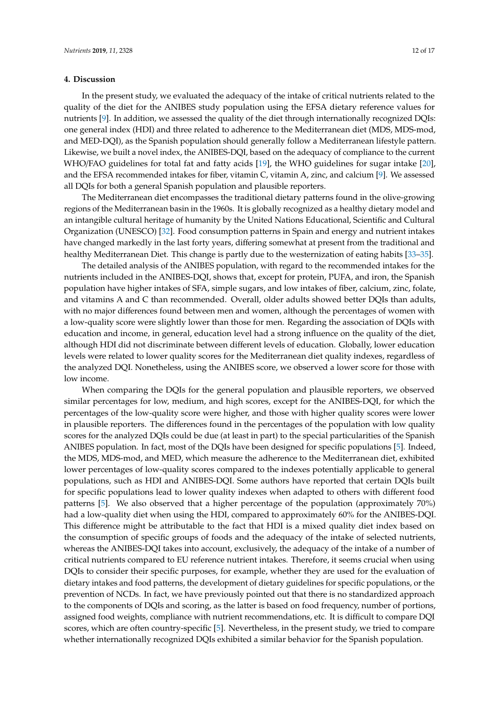## **4. Discussion**

In the present study, we evaluated the adequacy of the intake of critical nutrients related to the quality of the diet for the ANIBES study population using the EFSA dietary reference values for nutrients [\[9\]](#page-14-8). In addition, we assessed the quality of the diet through internationally recognized DQIs: one general index (HDI) and three related to adherence to the Mediterranean diet (MDS, MDS-mod, and MED-DQI), as the Spanish population should generally follow a Mediterranean lifestyle pattern. Likewise, we built a novel index, the ANIBES-DQI, based on the adequacy of compliance to the current WHO/FAO guidelines for total fat and fatty acids [\[19\]](#page-15-7), the WHO guidelines for sugar intake [\[20\]](#page-15-8), and the EFSA recommended intakes for fiber, vitamin C, vitamin A, zinc, and calcium [\[9\]](#page-14-8). We assessed all DQIs for both a general Spanish population and plausible reporters.

The Mediterranean diet encompasses the traditional dietary patterns found in the olive-growing regions of the Mediterranean basin in the 1960s. It is globally recognized as a healthy dietary model and an intangible cultural heritage of humanity by the United Nations Educational, Scientific and Cultural Organization (UNESCO) [\[32\]](#page-16-1). Food consumption patterns in Spain and energy and nutrient intakes have changed markedly in the last forty years, differing somewhat at present from the traditional and healthy Mediterranean Diet. This change is partly due to the westernization of eating habits [\[33–](#page-16-2)[35\]](#page-16-3).

The detailed analysis of the ANIBES population, with regard to the recommended intakes for the nutrients included in the ANIBES-DQI, shows that, except for protein, PUFA, and iron, the Spanish population have higher intakes of SFA, simple sugars, and low intakes of fiber, calcium, zinc, folate, and vitamins A and C than recommended. Overall, older adults showed better DQIs than adults, with no major differences found between men and women, although the percentages of women with a low-quality score were slightly lower than those for men. Regarding the association of DQIs with education and income, in general, education level had a strong influence on the quality of the diet, although HDI did not discriminate between different levels of education. Globally, lower education levels were related to lower quality scores for the Mediterranean diet quality indexes, regardless of the analyzed DQI. Nonetheless, using the ANIBES score, we observed a lower score for those with low income.

When comparing the DQIs for the general population and plausible reporters, we observed similar percentages for low, medium, and high scores, except for the ANIBES-DQI, for which the percentages of the low-quality score were higher, and those with higher quality scores were lower in plausible reporters. The differences found in the percentages of the population with low quality scores for the analyzed DQIs could be due (at least in part) to the special particularities of the Spanish ANIBES population. In fact, most of the DQIs have been designed for specific populations [\[5\]](#page-14-4). Indeed, the MDS, MDS-mod, and MED, which measure the adherence to the Mediterranean diet, exhibited lower percentages of low-quality scores compared to the indexes potentially applicable to general populations, such as HDI and ANIBES-DQI. Some authors have reported that certain DQIs built for specific populations lead to lower quality indexes when adapted to others with different food patterns [\[5\]](#page-14-4). We also observed that a higher percentage of the population (approximately 70%) had a low-quality diet when using the HDI, compared to approximately 60% for the ANIBES-DQI. This difference might be attributable to the fact that HDI is a mixed quality diet index based on the consumption of specific groups of foods and the adequacy of the intake of selected nutrients, whereas the ANIBES-DQI takes into account, exclusively, the adequacy of the intake of a number of critical nutrients compared to EU reference nutrient intakes. Therefore, it seems crucial when using DQIs to consider their specific purposes, for example, whether they are used for the evaluation of dietary intakes and food patterns, the development of dietary guidelines for specific populations, or the prevention of NCDs. In fact, we have previously pointed out that there is no standardized approach to the components of DQIs and scoring, as the latter is based on food frequency, number of portions, assigned food weights, compliance with nutrient recommendations, etc. It is difficult to compare DQI scores, which are often country-specific [\[5\]](#page-14-4). Nevertheless, in the present study, we tried to compare whether internationally recognized DQIs exhibited a similar behavior for the Spanish population.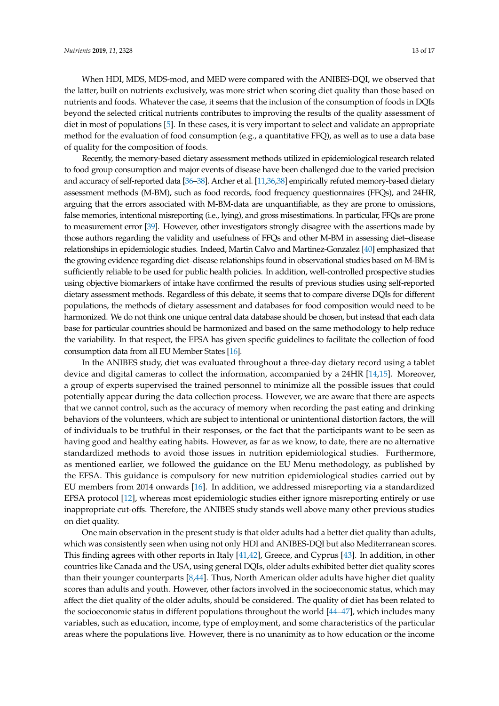When HDI, MDS, MDS-mod, and MED were compared with the ANIBES-DQI, we observed that the latter, built on nutrients exclusively, was more strict when scoring diet quality than those based on nutrients and foods. Whatever the case, it seems that the inclusion of the consumption of foods in DQIs beyond the selected critical nutrients contributes to improving the results of the quality assessment of diet in most of populations [\[5\]](#page-14-4). In these cases, it is very important to select and validate an appropriate method for the evaluation of food consumption (e.g., a quantitative FFQ), as well as to use a data base of quality for the composition of foods.

Recently, the memory-based dietary assessment methods utilized in epidemiological research related to food group consumption and major events of disease have been challenged due to the varied precision and accuracy of self-reported data [\[36–](#page-16-4)[38\]](#page-16-5). Archer et al. [\[11,](#page-14-10)[36](#page-16-4)[,38\]](#page-16-5) empirically refuted memory-based dietary assessment methods (M-BM), such as food records, food frequency questionnaires (FFQs), and 24HR, arguing that the errors associated with M-BM-data are unquantifiable, as they are prone to omissions, false memories, intentional misreporting (i.e., lying), and gross misestimations. In particular, FFQs are prone to measurement error [\[39\]](#page-16-6). However, other investigators strongly disagree with the assertions made by those authors regarding the validity and usefulness of FFQs and other M-BM in assessing diet–disease relationships in epidemiologic studies. Indeed, Martin Calvo and Martinez-Gonzalez [\[40\]](#page-16-7) emphasized that the growing evidence regarding diet–disease relationships found in observational studies based on M-BM is sufficiently reliable to be used for public health policies. In addition, well-controlled prospective studies using objective biomarkers of intake have confirmed the results of previous studies using self-reported dietary assessment methods. Regardless of this debate, it seems that to compare diverse DQIs for different populations, the methods of dietary assessment and databases for food composition would need to be harmonized. We do not think one unique central data database should be chosen, but instead that each data base for particular countries should be harmonized and based on the same methodology to help reduce the variability. In that respect, the EFSA has given specific guidelines to facilitate the collection of food consumption data from all EU Member States [\[16\]](#page-15-4).

In the ANIBES study, diet was evaluated throughout a three-day dietary record using a tablet device and digital cameras to collect the information, accompanied by a 24HR [\[14,](#page-15-2)[15\]](#page-15-3). Moreover, a group of experts supervised the trained personnel to minimize all the possible issues that could potentially appear during the data collection process. However, we are aware that there are aspects that we cannot control, such as the accuracy of memory when recording the past eating and drinking behaviors of the volunteers, which are subject to intentional or unintentional distortion factors, the will of individuals to be truthful in their responses, or the fact that the participants want to be seen as having good and healthy eating habits. However, as far as we know, to date, there are no alternative standardized methods to avoid those issues in nutrition epidemiological studies. Furthermore, as mentioned earlier, we followed the guidance on the EU Menu methodology, as published by the EFSA. This guidance is compulsory for new nutrition epidemiological studies carried out by EU members from 2014 onwards [\[16\]](#page-15-4). In addition, we addressed misreporting via a standardized EFSA protocol [\[12\]](#page-15-0), whereas most epidemiologic studies either ignore misreporting entirely or use inappropriate cut-offs. Therefore, the ANIBES study stands well above many other previous studies on diet quality.

One main observation in the present study is that older adults had a better diet quality than adults, which was consistently seen when using not only HDI and ANIBES-DQI but also Mediterranean scores. This finding agrees with other reports in Italy [\[41](#page-16-8)[,42\]](#page-16-9), Greece, and Cyprus [\[43\]](#page-16-10). In addition, in other countries like Canada and the USA, using general DQIs, older adults exhibited better diet quality scores than their younger counterparts [\[8](#page-14-7)[,44\]](#page-16-11). Thus, North American older adults have higher diet quality scores than adults and youth. However, other factors involved in the socioeconomic status, which may affect the diet quality of the older adults, should be considered. The quality of diet has been related to the socioeconomic status in different populations throughout the world [\[44–](#page-16-11)[47\]](#page-16-12), which includes many variables, such as education, income, type of employment, and some characteristics of the particular areas where the populations live. However, there is no unanimity as to how education or the income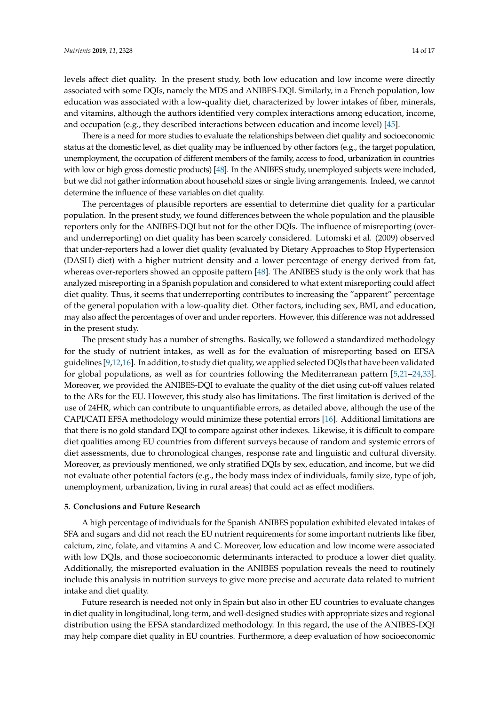levels affect diet quality. In the present study, both low education and low income were directly associated with some DQIs, namely the MDS and ANIBES-DQI. Similarly, in a French population, low education was associated with a low-quality diet, characterized by lower intakes of fiber, minerals, and vitamins, although the authors identified very complex interactions among education, income, and occupation (e.g., they described interactions between education and income level) [\[45\]](#page-16-13).

There is a need for more studies to evaluate the relationships between diet quality and socioeconomic status at the domestic level, as diet quality may be influenced by other factors (e.g., the target population, unemployment, the occupation of different members of the family, access to food, urbanization in countries with low or high gross domestic products) [\[48\]](#page-16-14). In the ANIBES study, unemployed subjects were included, but we did not gather information about household sizes or single living arrangements. Indeed, we cannot determine the influence of these variables on diet quality.

The percentages of plausible reporters are essential to determine diet quality for a particular population. In the present study, we found differences between the whole population and the plausible reporters only for the ANIBES-DQI but not for the other DQIs. The influence of misreporting (overand underreporting) on diet quality has been scarcely considered. Lutomski et al. (2009) observed that under-reporters had a lower diet quality (evaluated by Dietary Approaches to Stop Hypertension (DASH) diet) with a higher nutrient density and a lower percentage of energy derived from fat, whereas over-reporters showed an opposite pattern [\[48\]](#page-16-14). The ANIBES study is the only work that has analyzed misreporting in a Spanish population and considered to what extent misreporting could affect diet quality. Thus, it seems that underreporting contributes to increasing the "apparent" percentage of the general population with a low-quality diet. Other factors, including sex, BMI, and education, may also affect the percentages of over and under reporters. However, this difference was not addressed in the present study.

The present study has a number of strengths. Basically, we followed a standardized methodology for the study of nutrient intakes, as well as for the evaluation of misreporting based on EFSA guidelines [\[9](#page-14-8)[,12](#page-15-0)[,16\]](#page-15-4). In addition, to study diet quality, we applied selected DQIs that have been validated for global populations, as well as for countries following the Mediterranean pattern [\[5,](#page-14-4)[21](#page-15-9)[–24,](#page-15-12)[33\]](#page-16-2). Moreover, we provided the ANIBES-DQI to evaluate the quality of the diet using cut-off values related to the ARs for the EU. However, this study also has limitations. The first limitation is derived of the use of 24HR, which can contribute to unquantifiable errors, as detailed above, although the use of the CAPI/CATI EFSA methodology would minimize these potential errors [\[16\]](#page-15-4). Additional limitations are that there is no gold standard DQI to compare against other indexes. Likewise, it is difficult to compare diet qualities among EU countries from different surveys because of random and systemic errors of diet assessments, due to chronological changes, response rate and linguistic and cultural diversity. Moreover, as previously mentioned, we only stratified DQIs by sex, education, and income, but we did not evaluate other potential factors (e.g., the body mass index of individuals, family size, type of job, unemployment, urbanization, living in rural areas) that could act as effect modifiers.

#### **5. Conclusions and Future Research**

A high percentage of individuals for the Spanish ANIBES population exhibited elevated intakes of SFA and sugars and did not reach the EU nutrient requirements for some important nutrients like fiber, calcium, zinc, folate, and vitamins A and C. Moreover, low education and low income were associated with low DQIs, and those socioeconomic determinants interacted to produce a lower diet quality. Additionally, the misreported evaluation in the ANIBES population reveals the need to routinely include this analysis in nutrition surveys to give more precise and accurate data related to nutrient intake and diet quality.

Future research is needed not only in Spain but also in other EU countries to evaluate changes in diet quality in longitudinal, long-term, and well-designed studies with appropriate sizes and regional distribution using the EFSA standardized methodology. In this regard, the use of the ANIBES-DQI may help compare diet quality in EU countries. Furthermore, a deep evaluation of how socioeconomic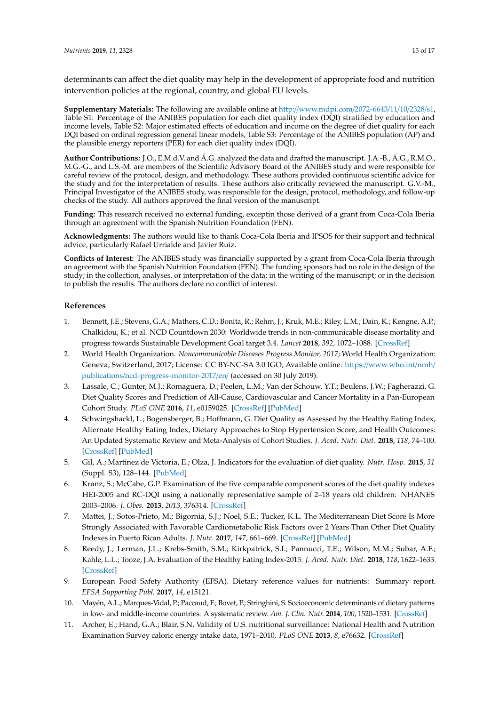determinants can affect the diet quality may help in the development of appropriate food and nutrition intervention policies at the regional, country, and global EU levels.

**Supplementary Materials:** The following are available online at http://[www.mdpi.com](http://www.mdpi.com/2072-6643/11/10/2328/s1)/2072-6643/11/10/2328/s1, Table S1: Percentage of the ANIBES population for each diet quality index (DQI) stratified by education and income levels, Table S2: Major estimated effects of education and income on the degree of diet quality for each DQI based on ordinal regression general linear models, Table S3: Percentage of the ANIBES population (AP) and the plausible energy reporters (PER) for each diet quality index (DQI).

**Author Contributions:** J.O., E.M.d.V. and Á.G. analyzed the data and drafted the manuscript. J.A.-B., Á.G., R.M.O., M.G.-G., and L.S.-M. are members of the Scientific Advisory Board of the ANIBES study and were responsible for careful review of the protocol, design, and methodology. These authors provided continuous scientific advice for the study and for the interpretation of results. These authors also critically reviewed the manuscript. G.V.-M., Principal Investigator of the ANIBES study, was responsible for the design, protocol, methodology, and follow-up checks of the study. All authors approved the final version of the manuscript.

**Funding:** This research received no external funding, exceptin those derived of a grant from Coca-Cola Iberia through an agreement with the Spanish Nutrition Foundation (FEN).

**Acknowledgments:** The authors would like to thank Coca-Cola Iberia and IPSOS for their support and technical advice, particularly Rafael Urrialde and Javier Ruiz.

**Conflicts of Interest:** The ANIBES study was financially supported by a grant from Coca-Cola Iberia through an agreement with the Spanish Nutrition Foundation (FEN). The funding sponsors had no role in the design of the study; in the collection, analyses, or interpretation of the data; in the writing of the manuscript; or in the decision to publish the results. The authors declare no conflict of interest.

## **References**

- <span id="page-14-0"></span>1. Bennett, J.E.; Stevens, G.A.; Mathers, C.D.; Bonita, R.; Rehm, J.; Kruk, M.E.; Riley, L.M.; Dain, K.; Kengne, A.P.; Chalkidou, K.; et al. NCD Countdown 2030: Worldwide trends in non-communicable disease mortality and progress towards Sustainable Development Goal target 3.4. *Lancet* **2018**, *392*, 1072–1088. [\[CrossRef\]](http://dx.doi.org/10.1016/S0140-6736(18)31992-5)
- <span id="page-14-1"></span>2. World Health Organization. *Noncommunicable Diseases Progress Monitor, 2017*; World Health Organization: Geneva, Switzerland, 2017; License: CC BY-NC-SA 3.0 IGO; Available online: https://[www.who.int](https://www.who.int/nmh/publications/ncd-progress-monitor-2017/en/)/nmh/ publications/[ncd-progress-monitor-2017](https://www.who.int/nmh/publications/ncd-progress-monitor-2017/en/)/en/ (accessed on 30 July 2019).
- <span id="page-14-2"></span>3. Lassale, C.; Gunter, M.J.; Romaguera, D.; Peelen, L.M.; Van der Schouw, Y.T.; Beulens, J.W.; Fagherazzi, G. Diet Quality Scores and Prediction of All-Cause, Cardiovascular and Cancer Mortality in a Pan-European Cohort Study. *PLoS ONE* **2016**, *11*, e0159025. [\[CrossRef\]](http://dx.doi.org/10.1371/journal.pone.0159025) [\[PubMed\]](http://www.ncbi.nlm.nih.gov/pubmed/27409582)
- <span id="page-14-3"></span>4. Schwingshackl, L.; Bogensberger, B.; Hoffmann, G. Diet Quality as Assessed by the Healthy Eating Index, Alternate Healthy Eating Index, Dietary Approaches to Stop Hypertension Score, and Health Outcomes: An Updated Systematic Review and Meta-Analysis of Cohort Studies. *J. Acad. Nutr. Diet.* **2018**, *118*, 74–100. [\[CrossRef\]](http://dx.doi.org/10.1016/j.jand.2017.08.024) [\[PubMed\]](http://www.ncbi.nlm.nih.gov/pubmed/29111090)
- <span id="page-14-4"></span>5. Gil, A.; Martinez de Victoria, E.; Olza, J. Indicators for the evaluation of diet quality. *Nutr. Hosp.* **2015**, *31* (Suppl. S3), 128–144. [\[PubMed\]](http://www.ncbi.nlm.nih.gov/pubmed/25719781)
- <span id="page-14-5"></span>6. Kranz, S.; McCabe, G.P. Examination of the five comparable component scores of the diet quality indexes HEI-2005 and RC-DQI using a nationally representative sample of 2–18 years old children: NHANES 2003–2006. *J. Obes.* **2013**, *2013*, 376314. [\[CrossRef\]](http://dx.doi.org/10.1155/2013/376314)
- <span id="page-14-6"></span>7. Mattei, J.; Sotos-Prieto, M.; Bigornia, S.J.; Noel, S.E.; Tucker, K.L. The Mediterranean Diet Score Is More Strongly Associated with Favorable Cardiometabolic Risk Factors over 2 Years Than Other Diet Quality Indexes in Puerto Rican Adults. *J. Nutr.* **2017**, *147*, 661–669. [\[CrossRef\]](http://dx.doi.org/10.3945/jn.116.245431) [\[PubMed\]](http://www.ncbi.nlm.nih.gov/pubmed/28275099)
- <span id="page-14-7"></span>8. Reedy, J.; Lerman, J.L.; Krebs-Smith, S.M.; Kirkpatrick, S.I.; Pannucci, T.E.; Wilson, M.M.; Subar, A.F.; Kahle, L.L.; Tooze, J.A. Evaluation of the Healthy Eating Index-2015. *J. Acad. Nutr. Diet.* **2018**, *118*, 1622–1633. [\[CrossRef\]](http://dx.doi.org/10.1016/j.jand.2018.05.019)
- <span id="page-14-8"></span>9. European Food Safety Authority (EFSA). Dietary reference values for nutrients: Summary report. *EFSA Supporting Publ.* **2017**, *14*, e15121.
- <span id="page-14-9"></span>10. Mayén, A.L.; Marques-Vidal, P.; Paccaud, F.; Bovet, P.; Stringhini, S. Socioeconomic determinants of dietary patterns in low- and middle-income countries: A systematic review. *Am. J. Clin. Nutr.* **2014**, *100*, 1520–1531. [\[CrossRef\]](http://dx.doi.org/10.3945/ajcn.114.089029)
- <span id="page-14-10"></span>11. Archer, E.; Hand, G.A.; Blair, S.N. Validity of U.S. nutritional surveillance: National Health and Nutrition Examination Survey caloric energy intake data, 1971–2010. *PLoS ONE* **2013**, *8*, e76632. [\[CrossRef\]](http://dx.doi.org/10.1371/annotation/c313df3a-52bd-4cbe-af14-6676480d1a43)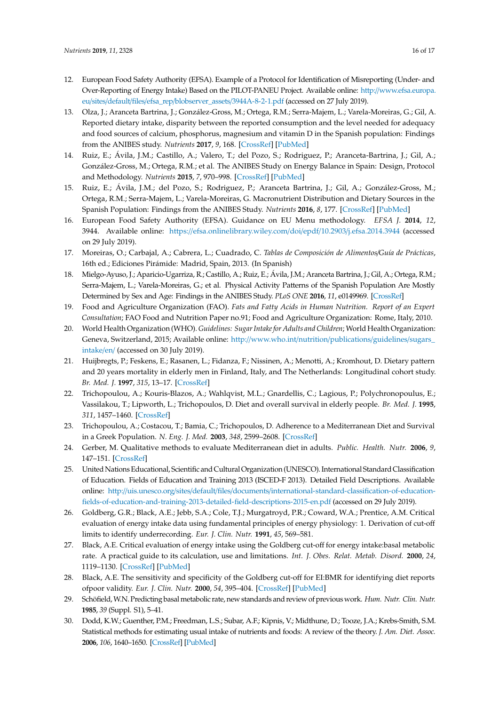- <span id="page-15-0"></span>12. European Food Safety Authority (EFSA). Example of a Protocol for Identification of Misreporting (Under- and Over-Reporting of Energy Intake) Based on the PILOT-PANEU Project. Available online: http://[www.efsa.europa.](http://www.efsa.europa.eu/sites/default/files/efsa_rep/blobserver_assets/3944A-8-2-1.pdf) eu/sites/default/files/efsa\_rep/[blobserver\\_assets](http://www.efsa.europa.eu/sites/default/files/efsa_rep/blobserver_assets/3944A-8-2-1.pdf)/3944A-8-2-1.pdf (accessed on 27 July 2019).
- <span id="page-15-1"></span>13. Olza, J.; Aranceta Bartrina, J.; González-Gross, M.; Ortega, R.M.; Serra-Majem, L.; Varela-Moreiras, G.; Gil, A. Reported dietary intake, disparity between the reported consumption and the level needed for adequacy and food sources of calcium, phosphorus, magnesium and vitamin D in the Spanish population: Findings from the ANIBES study. *Nutrients* **2017**, *9*, 168. [\[CrossRef\]](http://dx.doi.org/10.3390/nu9020168) [\[PubMed\]](http://www.ncbi.nlm.nih.gov/pubmed/28230782)
- <span id="page-15-2"></span>14. Ruiz, E.; Ávila, J.M.; Castillo, A.; Valero, T.; del Pozo, S.; Rodriguez, P.; Aranceta-Bartrina, J.; Gil, A.; González-Gross, M.; Ortega, R.M.; et al. The ANIBES Study on Energy Balance in Spain: Design, Protocol and Methodology. *Nutrients* **2015**, *7*, 970–998. [\[CrossRef\]](http://dx.doi.org/10.3390/nu7020970) [\[PubMed\]](http://www.ncbi.nlm.nih.gov/pubmed/25658237)
- <span id="page-15-14"></span><span id="page-15-3"></span>15. Ruiz, E.; Ávila, J.M.; del Pozo, S.; Rodriguez, P.; Aranceta Bartrina, J.; Gil, A.; González-Gross, M.; Ortega, R.M.; Serra-Majem, L.; Varela-Moreiras, G. Macronutrient Distribution and Dietary Sources in the Spanish Population: Findings from the ANIBES Study. *Nutrients* **2016**, *8*, 177. [\[CrossRef\]](http://dx.doi.org/10.3390/nu8030177) [\[PubMed\]](http://www.ncbi.nlm.nih.gov/pubmed/27011202)
- <span id="page-15-15"></span><span id="page-15-4"></span>16. European Food Safety Authority (EFSA). Guidance on EU Menu methodology. *EFSA J.* **2014**, *12*, 3944. Available online: https://[efsa.onlinelibrary.wiley.com](https://efsa.onlinelibrary.wiley.com/doi/epdf/10.2903/j.efsa.2014.3944)/doi/epdf/10.2903/j.efsa.2014.3944 (accessed on 29 July 2019).
- <span id="page-15-13"></span><span id="page-15-5"></span>17. Moreiras, O.; Carbajal, A.; Cabrera, L.; Cuadrado, C. *Tablas de Composición de Alimentos*/*Guía de Prácticas*, 16th ed.; Ediciones Pirámide: Madrid, Spain, 2013. (In Spanish)
- <span id="page-15-6"></span>18. Mielgo-Ayuso, J.; Aparicio-Ugarriza, R.; Castillo, A.; Ruiz, E.; Ávila, J.M.; Aranceta Bartrina, J.; Gil, A.; Ortega, R.M.; Serra-Majem, L.; Varela-Moreiras, G.; et al. Physical Activity Patterns of the Spanish Population Are Mostly Determined by Sex and Age: Findings in the ANIBES Study. *PLoS ONE* **2016**, *11*, e0149969. [\[CrossRef\]](http://dx.doi.org/10.1371/journal.pone.0149969)
- <span id="page-15-7"></span>19. Food and Agriculture Organization (FAO). *Fats and Fatty Acids in Human Nutrition. Report of an Expert Consultation*; FAO Food and Nutrition Paper no.91; Food and Agriculture Organization: Rome, Italy, 2010.
- <span id="page-15-8"></span>20. World Health Organization (WHO). *Guidelines: Sugar Intake for Adults and Children*; World Health Organization: Geneva, Switzerland, 2015; Available online: http://[www.who.int](http://www.who.int/nutrition/publications/guidelines/sugars_intake/en/)/nutrition/publications/guidelines/sugars\_ [intake](http://www.who.int/nutrition/publications/guidelines/sugars_intake/en/)/en/ (accessed on 30 July 2019).
- <span id="page-15-9"></span>21. Huijbregts, P.; Feskens, E.; Rasanen, L.; Fidanza, F.; Nissinen, A.; Menotti, A.; Kromhout, D. Dietary pattern and 20 years mortality in elderly men in Finland, Italy, and The Netherlands: Longitudinal cohort study. *Br. Med. J.* **1997**, *315*, 13–17. [\[CrossRef\]](http://dx.doi.org/10.1136/bmj.315.7099.13)
- <span id="page-15-10"></span>22. Trichopoulou, A.; Kouris-Blazos, A.; Wahlqvist, M.L.; Gnardellis, C.; Lagious, P.; Polychronopoulus, E.; Vassilakou, T.; Lipworth, L.; Trichopoulos, D. Diet and overall survival in elderly people. *Br. Med. J.* **1995**, *311*, 1457–1460. [\[CrossRef\]](http://dx.doi.org/10.1136/bmj.311.7018.1457)
- <span id="page-15-11"></span>23. Trichopoulou, A.; Costacou, T.; Bamia, C.; Trichopoulos, D. Adherence to a Mediterranean Diet and Survival in a Greek Population. *N. Eng. J. Med.* **2003**, *348*, 2599–2608. [\[CrossRef\]](http://dx.doi.org/10.1056/NEJMoa025039)
- <span id="page-15-12"></span>24. Gerber, M. Qualitative methods to evaluate Mediterranean diet in adults. *Public. Health. Nutr.* **2006**, *9*, 147–151. [\[CrossRef\]](http://dx.doi.org/10.1079/PHN2005937)
- <span id="page-15-16"></span>25. United Nations Educational, Scientific and Cultural Organization (UNESCO). International Standard Classification of Education. Fields of Education and Training 2013 (ISCED-F 2013). Detailed Field Descriptions. Available online: http://uis.unesco.org/sites/default/files/documents/[international-standard-classification-of-education](http://uis.unesco.org/sites/default/files/documents/international-standard-classification-of-education-fields-of-education-and-training-2013-detailed-field-descriptions-2015-en.pdf)[fields-of-education-and-training-2013-detailed-field-descriptions-2015-en.pdf](http://uis.unesco.org/sites/default/files/documents/international-standard-classification-of-education-fields-of-education-and-training-2013-detailed-field-descriptions-2015-en.pdf) (accessed on 29 July 2019).
- <span id="page-15-17"></span>26. Goldberg, G.R.; Black, A.E.; Jebb, S.A.; Cole, T.J.; Murgatroyd, P.R.; Coward, W.A.; Prentice, A.M. Critical evaluation of energy intake data using fundamental principles of energy physiology: 1. Derivation of cut-off limits to identify underrecording. *Eur. J. Clin. Nutr.* **1991**, *45*, 569–581.
- <span id="page-15-18"></span>27. Black, A.E. Critical evaluation of energy intake using the Goldberg cut-off for energy intake:basal metabolic rate. A practical guide to its calculation, use and limitations. *Int. J. Obes. Relat. Metab. Disord.* **2000**, *24*, 1119–1130. [\[CrossRef\]](http://dx.doi.org/10.1038/sj.ijo.0801376) [\[PubMed\]](http://www.ncbi.nlm.nih.gov/pubmed/11033980)
- <span id="page-15-19"></span>28. Black, A.E. The sensitivity and specificity of the Goldberg cut-off for EI:BMR for identifying diet reports ofpoor validity. *Eur. J. Clin. Nutr.* **2000**, *54*, 395–404. [\[CrossRef\]](http://dx.doi.org/10.1038/sj.ejcn.1600971) [\[PubMed\]](http://www.ncbi.nlm.nih.gov/pubmed/10822286)
- <span id="page-15-20"></span>29. Schöfield,W.N. Predicting basalmetabolic rate, new standards and review of previous work. *Hum. Nutr. Clin. Nutr.* **1985**, *39* (Suppl. S1), 5–41.
- <span id="page-15-21"></span>30. Dodd, K.W.; Guenther, P.M.; Freedman, L.S.; Subar, A.F.; Kipnis, V.; Midthune, D.; Tooze, J.A.; Krebs-Smith, S.M. Statistical methods for estimating usual intake of nutrients and foods: A review of the theory. *J. Am. Diet. Assoc.* **2006**, *106*, 1640–1650. [\[CrossRef\]](http://dx.doi.org/10.1016/j.jada.2006.07.011) [\[PubMed\]](http://www.ncbi.nlm.nih.gov/pubmed/17000197)